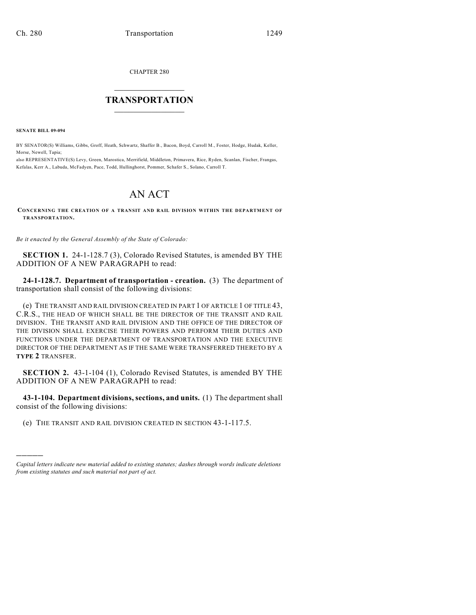CHAPTER 280

## $\mathcal{L}_\text{max}$  . The set of the set of the set of the set of the set of the set of the set of the set of the set of the set of the set of the set of the set of the set of the set of the set of the set of the set of the set **TRANSPORTATION**  $\_$   $\_$   $\_$   $\_$   $\_$   $\_$   $\_$   $\_$   $\_$

**SENATE BILL 09-094**

)))))

BY SENATOR(S) Williams, Gibbs, Groff, Heath, Schwartz, Shaffer B., Bacon, Boyd, Carroll M., Foster, Hodge, Hudak, Keller, Morse, Newell, Tapia;

also REPRESENTATIVE(S) Levy, Green, Marostica, Merrifield, Middleton, Primavera, Rice, Ryden, Scanlan, Fischer, Frangas, Kefalas, Kerr A., Labuda, McFadyen, Pace, Todd, Hullinghorst, Pommer, Schafer S., Solano, Carroll T.

## AN ACT

**CONCERNING THE CREATION OF A TRANSIT AND RAIL DIVISION WITHIN THE DEPARTMENT OF TRANSPORTATION.**

*Be it enacted by the General Assembly of the State of Colorado:*

**SECTION 1.** 24-1-128.7 (3), Colorado Revised Statutes, is amended BY THE ADDITION OF A NEW PARAGRAPH to read:

**24-1-128.7. Department of transportation - creation.** (3) The department of transportation shall consist of the following divisions:

(e) THE TRANSIT AND RAIL DIVISION CREATED IN PART 1 OF ARTICLE 1 OF TITLE 43, C.R.S., THE HEAD OF WHICH SHALL BE THE DIRECTOR OF THE TRANSIT AND RAIL DIVISION. THE TRANSIT AND RAIL DIVISION AND THE OFFICE OF THE DIRECTOR OF THE DIVISION SHALL EXERCISE THEIR POWERS AND PERFORM THEIR DUTIES AND FUNCTIONS UNDER THE DEPARTMENT OF TRANSPORTATION AND THE EXECUTIVE DIRECTOR OF THE DEPARTMENT AS IF THE SAME WERE TRANSFERRED THERETO BY A **TYPE 2** TRANSFER.

**SECTION 2.** 43-1-104 (1), Colorado Revised Statutes, is amended BY THE ADDITION OF A NEW PARAGRAPH to read:

**43-1-104. Department divisions, sections, and units.** (1) The department shall consist of the following divisions:

(e) THE TRANSIT AND RAIL DIVISION CREATED IN SECTION 43-1-117.5.

*Capital letters indicate new material added to existing statutes; dashes through words indicate deletions from existing statutes and such material not part of act.*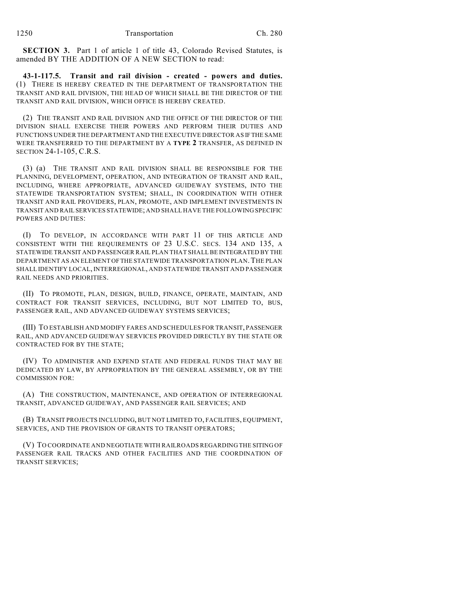**SECTION 3.** Part 1 of article 1 of title 43, Colorado Revised Statutes, is amended BY THE ADDITION OF A NEW SECTION to read:

**43-1-117.5. Transit and rail division - created - powers and duties.** (1) THERE IS HEREBY CREATED IN THE DEPARTMENT OF TRANSPORTATION THE TRANSIT AND RAIL DIVISION, THE HEAD OF WHICH SHALL BE THE DIRECTOR OF THE TRANSIT AND RAIL DIVISION, WHICH OFFICE IS HEREBY CREATED.

(2) THE TRANSIT AND RAIL DIVISION AND THE OFFICE OF THE DIRECTOR OF THE DIVISION SHALL EXERCISE THEIR POWERS AND PERFORM THEIR DUTIES AND FUNCTIONS UNDER THE DEPARTMENT AND THE EXECUTIVE DIRECTOR AS IF THE SAME WERE TRANSFERRED TO THE DEPARTMENT BY A **TYPE 2** TRANSFER, AS DEFINED IN SECTION 24-1-105, C.R.S.

(3) (a) THE TRANSIT AND RAIL DIVISION SHALL BE RESPONSIBLE FOR THE PLANNING, DEVELOPMENT, OPERATION, AND INTEGRATION OF TRANSIT AND RAIL, INCLUDING, WHERE APPROPRIATE, ADVANCED GUIDEWAY SYSTEMS, INTO THE STATEWIDE TRANSPORTATION SYSTEM; SHALL, IN COORDINATION WITH OTHER TRANSIT AND RAIL PROVIDERS, PLAN, PROMOTE, AND IMPLEMENT INVESTMENTS IN TRANSIT AND RAIL SERVICES STATEWIDE; AND SHALL HAVE THE FOLLOWING SPECIFIC POWERS AND DUTIES:

(I) TO DEVELOP, IN ACCORDANCE WITH PART 11 OF THIS ARTICLE AND CONSISTENT WITH THE REQUIREMENTS OF 23 U.S.C. SECS. 134 AND 135, A STATEWIDE TRANSIT AND PASSENGER RAIL PLAN THAT SHALL BE INTEGRATED BY THE DEPARTMENT AS AN ELEMENT OF THE STATEWIDE TRANSPORTATION PLAN.THE PLAN SHALL IDENTIFY LOCAL, INTERREGIONAL, AND STATEWIDE TRANSIT AND PASSENGER RAIL NEEDS AND PRIORITIES.

(II) TO PROMOTE, PLAN, DESIGN, BUILD, FINANCE, OPERATE, MAINTAIN, AND CONTRACT FOR TRANSIT SERVICES, INCLUDING, BUT NOT LIMITED TO, BUS, PASSENGER RAIL, AND ADVANCED GUIDEWAY SYSTEMS SERVICES;

(III) TO ESTABLISH AND MODIFY FARES AND SCHEDULES FOR TRANSIT, PASSENGER RAIL, AND ADVANCED GUIDEWAY SERVICES PROVIDED DIRECTLY BY THE STATE OR CONTRACTED FOR BY THE STATE;

(IV) TO ADMINISTER AND EXPEND STATE AND FEDERAL FUNDS THAT MAY BE DEDICATED BY LAW, BY APPROPRIATION BY THE GENERAL ASSEMBLY, OR BY THE COMMISSION FOR:

(A) THE CONSTRUCTION, MAINTENANCE, AND OPERATION OF INTERREGIONAL TRANSIT, ADVANCED GUIDEWAY, AND PASSENGER RAIL SERVICES; AND

(B) TRANSIT PROJECTS INCLUDING, BUT NOT LIMITED TO, FACILITIES, EQUIPMENT, SERVICES, AND THE PROVISION OF GRANTS TO TRANSIT OPERATORS;

(V) TO COORDINATE AND NEGOTIATE WITH RAILROADS REGARDING THE SITING OF PASSENGER RAIL TRACKS AND OTHER FACILITIES AND THE COORDINATION OF TRANSIT SERVICES;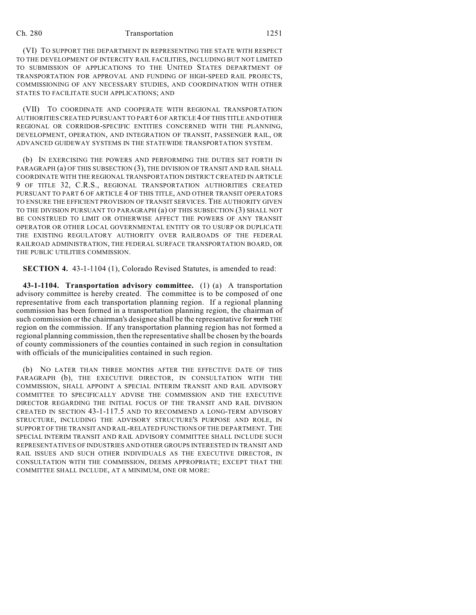## Ch. 280 Transportation 1251

(VI) TO SUPPORT THE DEPARTMENT IN REPRESENTING THE STATE WITH RESPECT TO THE DEVELOPMENT OF INTERCITY RAIL FACILITIES, INCLUDING BUT NOT LIMITED TO SUBMISSION OF APPLICATIONS TO THE UNITED STATES DEPARTMENT OF TRANSPORTATION FOR APPROVAL AND FUNDING OF HIGH-SPEED RAIL PROJECTS, COMMISSIONING OF ANY NECESSARY STUDIES, AND COORDINATION WITH OTHER STATES TO FACILITATE SUCH APPLICATIONS; AND

(VII) TO COORDINATE AND COOPERATE WITH REGIONAL TRANSPORTATION AUTHORITIES CREATED PURSUANT TO PART 6 OF ARTICLE 4 OF THIS TITLE AND OTHER REGIONAL OR CORRIDOR-SPECIFIC ENTITIES CONCERNED WITH THE PLANNING, DEVELOPMENT, OPERATION, AND INTEGRATION OF TRANSIT, PASSENGER RAIL, OR ADVANCED GUIDEWAY SYSTEMS IN THE STATEWIDE TRANSPORTATION SYSTEM.

(b) IN EXERCISING THE POWERS AND PERFORMING THE DUTIES SET FORTH IN PARAGRAPH (a) OF THIS SUBSECTION (3), THE DIVISION OF TRANSIT AND RAIL SHALL COORDINATE WITH THE REGIONAL TRANSPORTATION DISTRICT CREATED IN ARTICLE 9 OF TITLE 32, C.R.S., REGIONAL TRANSPORTATION AUTHORITIES CREATED PURSUANT TO PART 6 OF ARTICLE 4 OF THIS TITLE, AND OTHER TRANSIT OPERATORS TO ENSURE THE EFFICIENT PROVISION OF TRANSIT SERVICES. THE AUTHORITY GIVEN TO THE DIVISION PURSUANT TO PARAGRAPH (a) OF THIS SUBSECTION (3) SHALL NOT BE CONSTRUED TO LIMIT OR OTHERWISE AFFECT THE POWERS OF ANY TRANSIT OPERATOR OR OTHER LOCAL GOVERNMENTAL ENTITY OR TO USURP OR DUPLICATE THE EXISTING REGULATORY AUTHORITY OVER RAILROADS OF THE FEDERAL RAILROAD ADMINISTRATION, THE FEDERAL SURFACE TRANSPORTATION BOARD, OR THE PUBLIC UTILITIES COMMISSION.

**SECTION 4.** 43-1-1104 (1), Colorado Revised Statutes, is amended to read:

**43-1-1104. Transportation advisory committee.** (1) (a) A transportation advisory committee is hereby created. The committee is to be composed of one representative from each transportation planning region. If a regional planning commission has been formed in a transportation planning region, the chairman of such commission or the chairman's designee shall be the representative for such THE region on the commission. If any transportation planning region has not formed a regional planning commission, then the representative shall be chosen by the boards of county commissioners of the counties contained in such region in consultation with officials of the municipalities contained in such region.

(b) NO LATER THAN THREE MONTHS AFTER THE EFFECTIVE DATE OF THIS PARAGRAPH (b), THE EXECUTIVE DIRECTOR, IN CONSULTATION WITH THE COMMISSION, SHALL APPOINT A SPECIAL INTERIM TRANSIT AND RAIL ADVISORY COMMITTEE TO SPECIFICALLY ADVISE THE COMMISSION AND THE EXECUTIVE DIRECTOR REGARDING THE INITIAL FOCUS OF THE TRANSIT AND RAIL DIVISION CREATED IN SECTION 43-1-117.5 AND TO RECOMMEND A LONG-TERM ADVISORY STRUCTURE, INCLUDING THE ADVISORY STRUCTURE'S PURPOSE AND ROLE, IN SUPPORT OF THE TRANSIT AND RAIL-RELATED FUNCTIONS OFTHE DEPARTMENT. THE SPECIAL INTERIM TRANSIT AND RAIL ADVISORY COMMITTEE SHALL INCLUDE SUCH REPRESENTATIVES OF INDUSTRIES AND OTHER GROUPS INTERESTED IN TRANSIT AND RAIL ISSUES AND SUCH OTHER INDIVIDUALS AS THE EXECUTIVE DIRECTOR, IN CONSULTATION WITH THE COMMISSION, DEEMS APPROPRIATE; EXCEPT THAT THE COMMITTEE SHALL INCLUDE, AT A MINIMUM, ONE OR MORE: